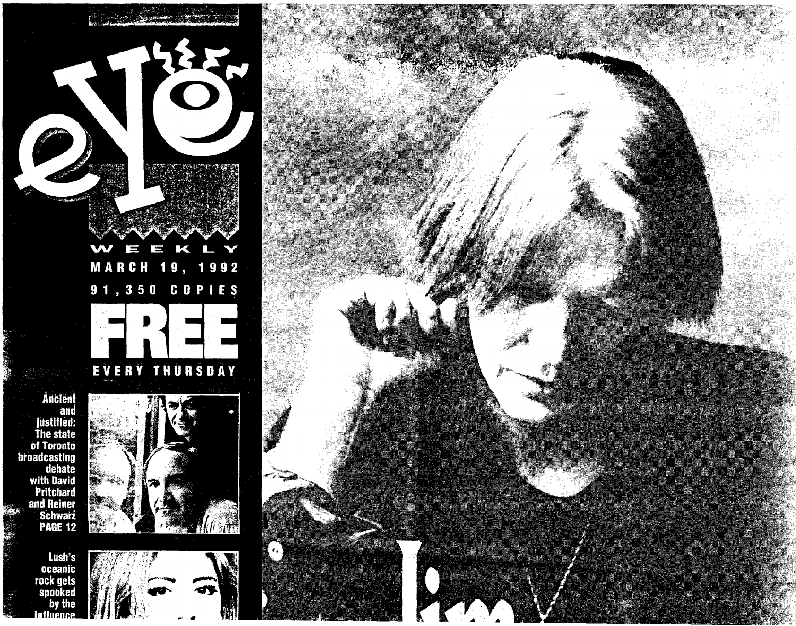



rock gets<br>spooked by the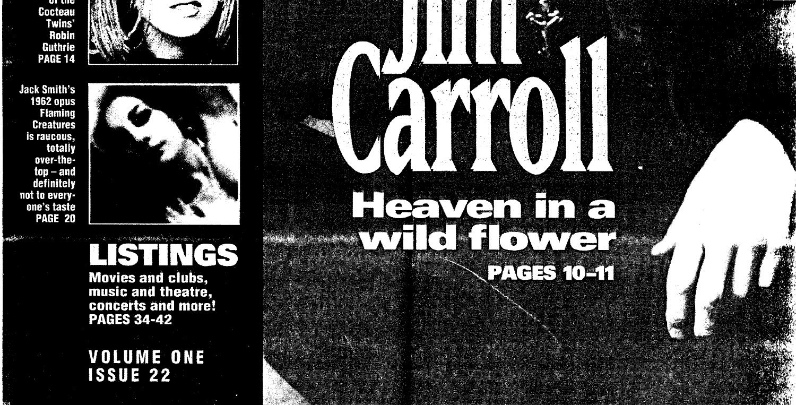u uu **Cocteau** Twins' **Robin Guthrie PAGE 14** 



**Jack Smith's 1962 opus Flaming Creatures** is raucous, totally over-the $top - and$ definitely not to everyone's taste **PAGE 20** 



Heaven In a

PACE 10-11

WANNOW TO BE THE REAL PROPERTY OF THE

**Movies and clubs.** music and theatre, concerts and more! **PAGES 34-42** 

**VOLUME ONE ISSUE 22**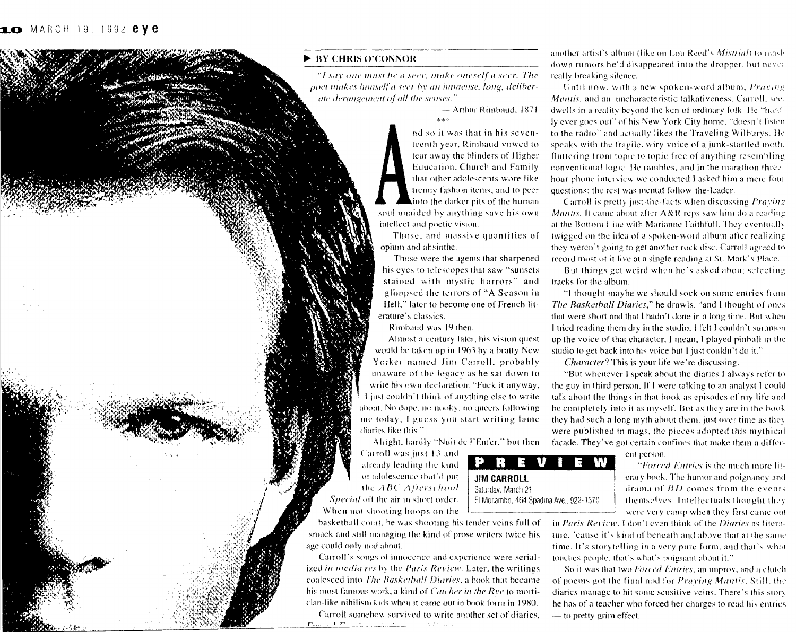## **BY CHRIS O'CONNOR**

"I say one must be a seer, make oneself a seer. The poet makes himself a seer by an immense, long, deliberate derangement of all the senses."

> — Arthur Rimbaud, 1871.

nd so it was that in his seventeenth year, Rimbaud vowed to tear away the blinders of Higher Education, Church and Family that other adolescents wore like trendy fashion items, and to peer linto the darker pits of the human soul unaided by anything save his own intellect and poetic vision.

Those, and massive quantities of opium and absinthe.

Those were the agents that sharpened his eyes to telescopes that saw "sunsets stained with mystic horrors" and glimpsed the terrors of "A Season in Hell," later to become one of French literature's classics.

Rimbaud was 19 then.

Almost a century later, his vision quest would be taken up in 1963 by a bratty New Yorker named Jim Carroll, probably unaware of the legacy as he sat down to write his own declaration: "Fuck it anyway, I just couldn't think of anything else to write about. No dope, no nooky, no queers following me today, I guess you start writing lame diaries like this."

Altight, hardly "Nuit de l'Enfer," but then Carroll was just 13 and already leading the kind of adolescence that'd put the ABC Afterschool Special off the air in short order. When not shooting hoops on the

basketball court, he was shooting his tender veins full of smack and still managing the kind of prose writers twice his age could only nod about.

Carroll's songs of innocence and experience were serialized in media res by the Paris Review. Later, the writings coalesced into The Basketball Diaries, a book that became his most famous work, a kind of Catcher in the Rye to mortician-like nihilism kids when it came out in book form in 1980.

Carroll somehow survived to write another set of diaries, a Francisco <u>(California)</u>

another artist's album (like on Lou Reed's *Mistrial*) to mash down rumors he'd disappeared into the dropper, but never really breaking silence.

Until now, with a new spoken-word album, *Praying* Mantis, and an uncharacteristic talkativeness. Carroll, see. dwells in a reality beyond the ken of ordinary folk. He "hard ly ever goes out" of his New York City home, "doesn't listen to the radio" and actually likes the Traveling Wilburys. He speaks with the fragile, wiry voice of a junk-startled moth. fluttering from topic to topic free of anything resembling conventional logic. He rambles, and in the marathon threehour phone interview we conducted I asked him a mere four questions: the rest was mental follow-the-leader.

Carroll is pretty just-the-facts when discussing Praving Mantis. It came about after A&R reps saw him do a reading at the Bottom Line with Marianne Faithfull. They eventually twigged on the idea of a spoken-word album after realizing they weren't going to get another rock disc. Carroll agreed to record most of it live at a single reading at St. Mark's Place.

But things get weird when he's asked about selecting tracks for the album.

"I thought maybe we should sock on some entries from The Basketball Diaries," he drawls, "and I thought of ones that were short and that I hadn't done in a long time. But when I tried reading them dry in the studio, I felt I couldn't summon up the voice of that character. I mean, I played pinball in the studio to get back into his voice but I just couldn't do it."

*Character?* This is your life we're discussing.

"But whenever I speak about the diaries I always refer to the guy in third person. If I were talking to an analyst I could talk about the things in that book as episodes of my life and be completely into it as myself. But as they are in the book they had such a long myth about them, just over time as they were published in mags, the pieces adopted this mythical facade. They've got certain confines that make them a differ-

ent person.

"Forced Entries is the much more literary book. The humor and poignancy and drama of  $BD$  comes from the events themselves. Intellectuals thought they were very camp when they first came out

in Paris Review. I don't even think of the Diaries as literature, 'cause it's kind of beneath and above that at the same time. It's storytelling in a very pure form, and that's what touches people, that's what's poignant about it."

So it was that two Forced Entries, an improv, and a clutch of poems got the final nod for Praying Mantis. Still, the diaries manage to hit some sensitive veins. There's this story he has of a teacher who forced her charges to read his entries - to pretty grim effect.

**JIM CARROLL** Saturday, March 21 El Mocambo, 464 Spadina Ave., 922-1570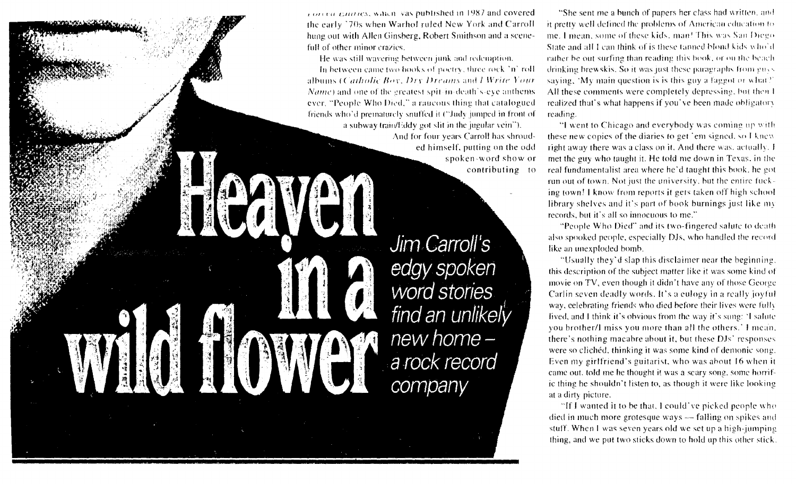rorera narries, which vas published in 1987 and covered the early '70s when Warhol ruled New York and Carroll hung out with Allen Ginsberg, Robert Smithson and a scenefull of other minor crazies.

He was still wavering between junk and redemption.

In between came two books of poetry, three rock 'n' roll albums (Catholic Boy, Dry Dreams and J Write Your Name) and one of the greatest spit-in-death's-eve anthems ever, "People Who Died," a raucous thing that catalogued friends who'd prematurely snuffed it ("Judy jumped in front of a subway train/Eddy got slit in the jugular vein").

And for four years Carroll has shrouded himself, putting on the odd spoken-word show or contributing to

Jim Carroll's edgy spoken word stories find an unlikely new home a rock record company

"She sent me a bunch of papers her class had written, and it pretty well defined the problems of American education to me 1 mean, some of these kids, man! This was San Diego State and all I can think of is these tanned blond kids who'd rather be out surfing than reading this book, or on the beachdrinking brewskis. So it was just these paragraphs from guys saying, 'My main question is is this guy a faggot or what?' All these comments were completely depressing, but then I realized that's what happens if you've been made obligatory reading.

"I went to Chicago and everybody was coming up with these new copies of the diaries to get 'em signed, so I knew right away there was a class on it. And there was, actually, I met the guy who taught it. He told me down in Texas, in the real fundamentalist area where he'd taught this book, he got run out of town. Not just the university, but the entire fucking town! I know from reports it gets taken off high school library shelves and it's part of book burnings just like my records, but it's all so innocuous to me."

"People Who Died" and its two-fingered salute to death. also spooked people, especially DJs, who handled the record like an unexploded bomb.

"Usually they'd slap this disclaimer near the beginning. this description of the subject matter like it was some kind of movie on TV, even though it didn't have any of those George Carlin seven deadly words. It's a culogy in a really joyful way, eelebrating friends who died before their lives were fully fived, and I think it's obvious from the way it's sung: 'I salute you brother/I miss you more than all the others.' I mean, there's nothing macabre about it, but these DJs' responses were so clichéd, thinking it was some kind of demonic song. Even my girlfriend's guitarist, who was about 16 when it came out, told me he thought it was a scary song, some horrific thing he shouldn't listen to, as though it were like looking at a dirty picture.

"If I wanted it to be that, I could've picked people who died in much more grotesque ways — falling on spikes and stuff. When I was seven years old we set up a high-jumping thing, and we put two sticks down to hold up this other stick.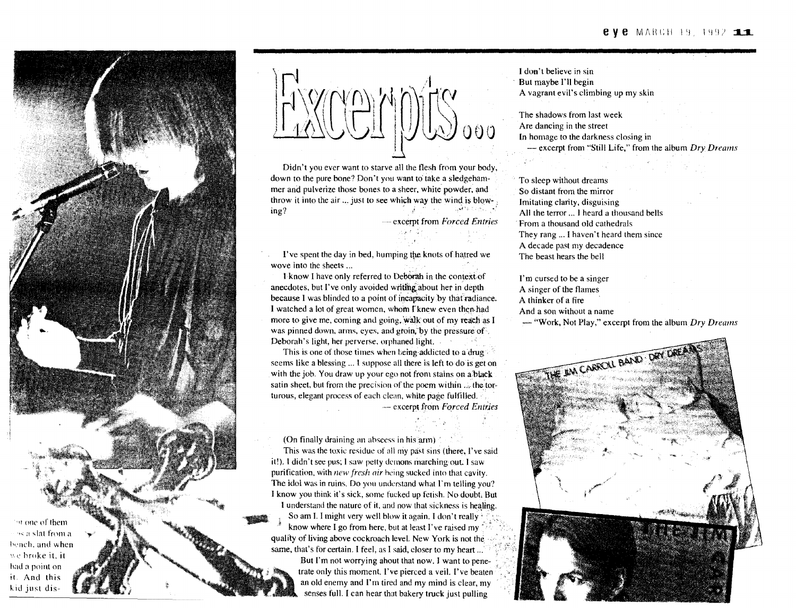

FXCCMONS.000

Didn't you ever want to starve all the flesh from your body, down to the pure bone? Don't you want to take a sledgehammer and pulverize those bones to a sheer, white powder, and throw it into the air  $\ldots$  just to see which way the wind is blow-<br>ing?

- \_. excerpt from *Forced Entries*

I've spent the day in bed, humping the knots of hatted we wove into the sheets ...

I know I have only referred to Debbrah in the contextof anecdotes, but I've only avoided wrltingabout her in depth because I was blinded to a point of incapacity by that radiance. I watched a lot of great women, whom I knew even then had more to give me, coming and going, walk out of my reach as I was pinned down, arms, eyes, and groin, by the pressure of. Deborah's light, her perverse, orphaned light.

This is one of those times when being addicted to a drug seems like a blessing ... I suppose all there is left to do is get on with the job. You draw up your ego not from stains on a black satin sheet, but from the precision of the poem within  $\ldots$  the torturous, elegant proeess of each clean, while page fulfilled. excerpl from *Forced Entries*

(On finally draining an abscess in his  $\alpha$ m)

This was the toxic residue of all my past sins (there, I've said it!). I didn't see pus; I saw petty demons marching out. I saw purification, with *new fresh air* hcing sucked into that cavity, The idol was in ruins. Do you understand what  $\Gamma$ m telling you? I know you think it's sick, some fucked up fetish. No doubt, But I understand the nature of it, and now that sickness is healing. So am I. I might very well blow it again. I don't really know where I go from here, but at least I've raised my quality of living above cockroach level. New York is not the, same, that's for certain. I feel, as I said, closer to my heart  $\ldots$ 

But I'm not worrying ahout that now, I want to penetrate only this moment. I've pierced a veil. I've beaten an old enemy and I'm tired and my mind is clear, my senses full. I can hear that bakery truck just pulling

I don't believe in sin But maybe I'll begin A vagrant evil's climbing up my skin

The shadows from last week Are dancing in the street In homage to the darkness closing in - excerpt from "Still Life," from the album *Dry Dreams*

To sleep without dreams So distant from the mirror Imitating clarity, disguising All the terror ,.. I heard a thousand bells From a thousand old cathedrals They rang ,., I haven't heard them since A decade past my decadence The beast hears the bell

I'm cursed to be a singer A singer of the flames A thinker of a fire And a son without a name - "Work. Not Play," excerpt from the album *Dry Dreams*